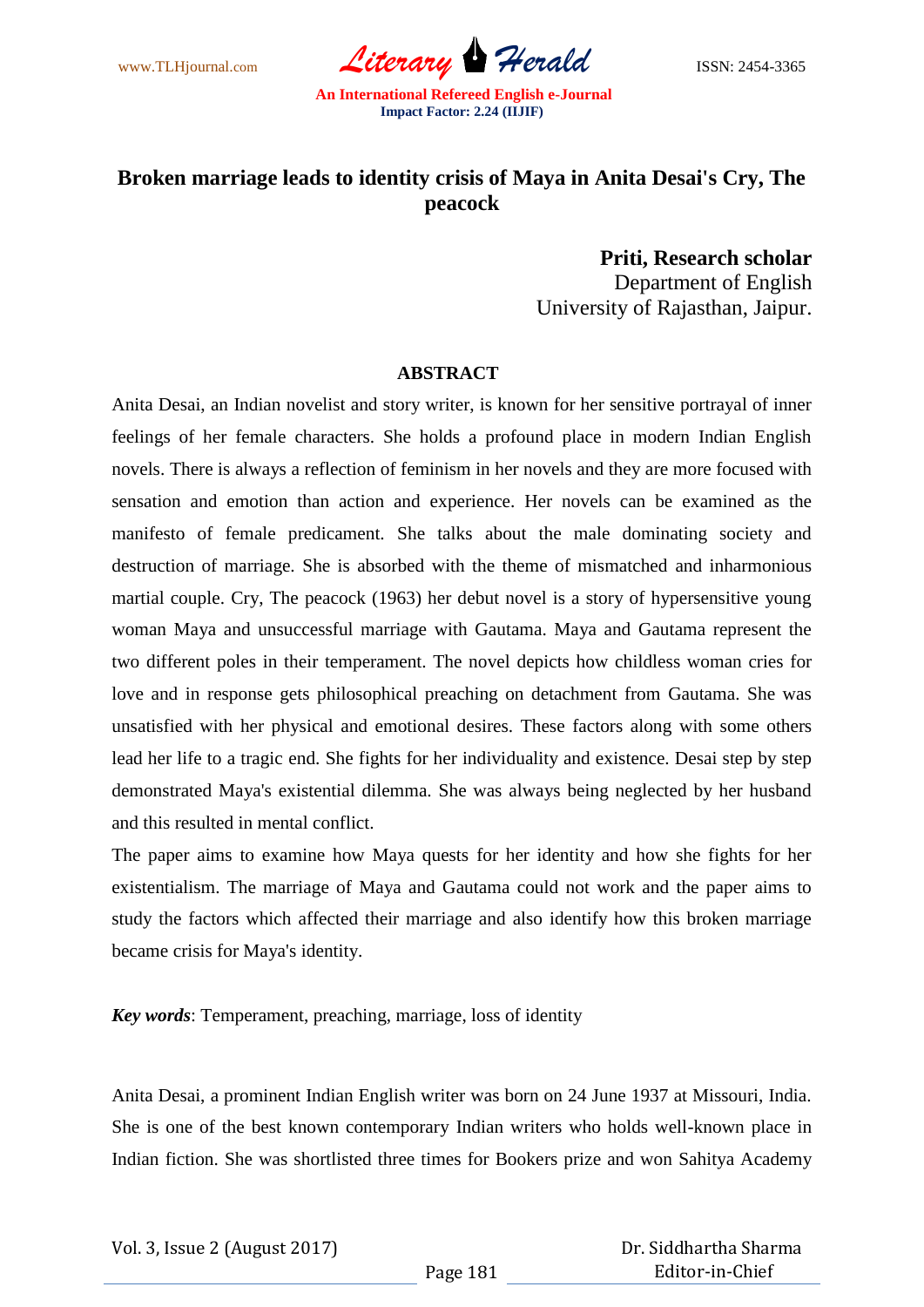

## **Broken marriage leads to identity crisis of Maya in Anita Desai's Cry, The peacock**

**Priti, Research scholar** Department of English University of Rajasthan, Jaipur.

## **ABSTRACT**

Anita Desai, an Indian novelist and story writer, is known for her sensitive portrayal of inner feelings of her female characters. She holds a profound place in modern Indian English novels. There is always a reflection of feminism in her novels and they are more focused with sensation and emotion than action and experience. Her novels can be examined as the manifesto of female predicament. She talks about the male dominating society and destruction of marriage. She is absorbed with the theme of mismatched and inharmonious martial couple. Cry, The peacock (1963) her debut novel is a story of hypersensitive young woman Maya and unsuccessful marriage with Gautama. Maya and Gautama represent the two different poles in their temperament. The novel depicts how childless woman cries for love and in response gets philosophical preaching on detachment from Gautama. She was unsatisfied with her physical and emotional desires. These factors along with some others lead her life to a tragic end. She fights for her individuality and existence. Desai step by step demonstrated Maya's existential dilemma. She was always being neglected by her husband and this resulted in mental conflict.

The paper aims to examine how Maya quests for her identity and how she fights for her existentialism. The marriage of Maya and Gautama could not work and the paper aims to study the factors which affected their marriage and also identify how this broken marriage became crisis for Maya's identity.

*Key words*: Temperament, preaching, marriage, loss of identity

Anita Desai, a prominent Indian English writer was born on 24 June 1937 at Missouri, India. She is one of the best known contemporary Indian writers who holds well-known place in Indian fiction. She was shortlisted three times for Bookers prize and won Sahitya Academy

Vol. 3, Issue 2 (August 2017)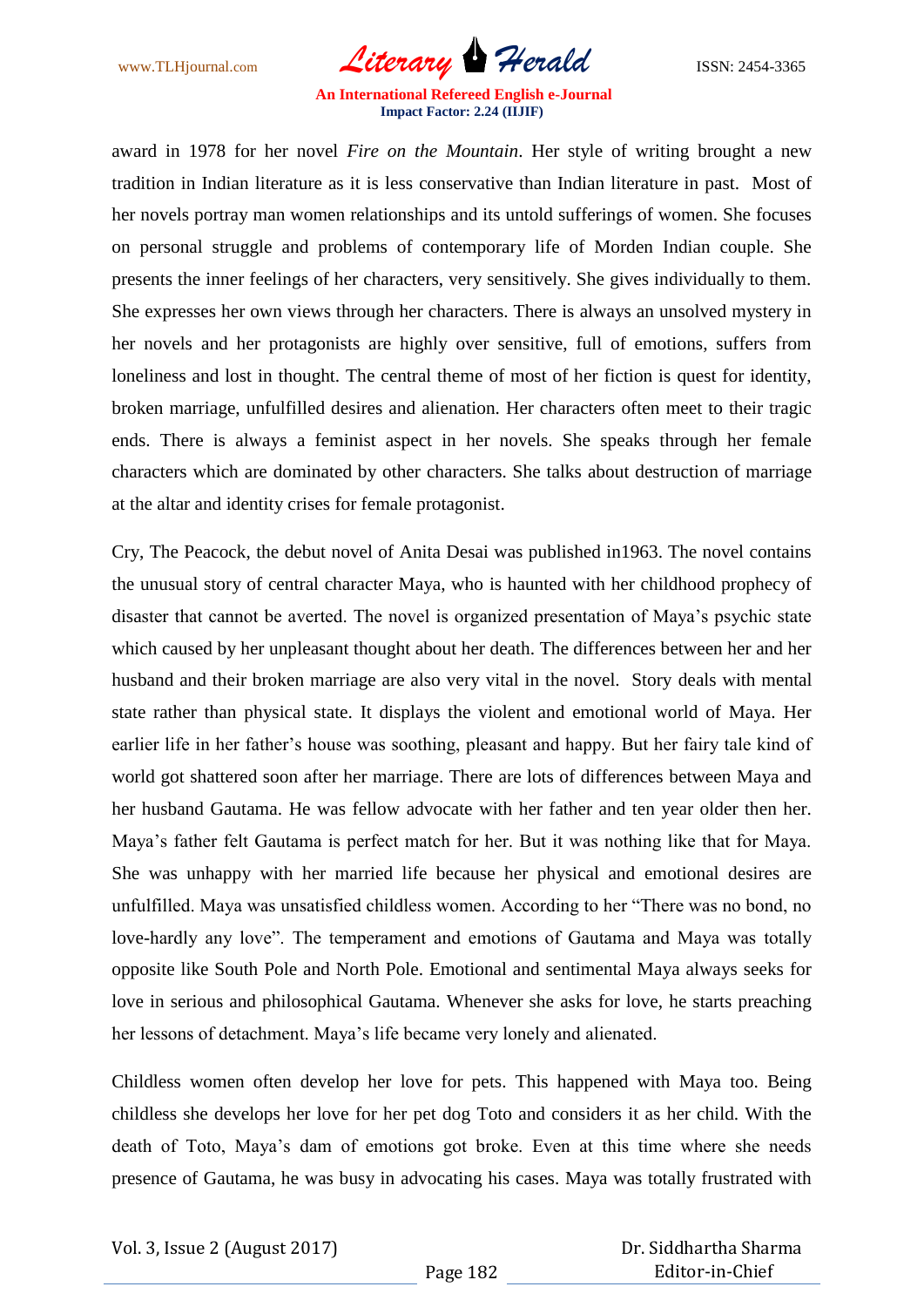

award in 1978 for her novel *Fire on the Mountain*. Her style of writing brought a new tradition in Indian literature as it is less conservative than Indian literature in past. Most of her novels portray man women relationships and its untold sufferings of women. She focuses on personal struggle and problems of contemporary life of Morden Indian couple. She presents the inner feelings of her characters, very sensitively. She gives individually to them. She expresses her own views through her characters. There is always an unsolved mystery in her novels and her protagonists are highly over sensitive, full of emotions, suffers from loneliness and lost in thought. The central theme of most of her fiction is quest for identity, broken marriage, unfulfilled desires and alienation. Her characters often meet to their tragic ends. There is always a feminist aspect in her novels. She speaks through her female characters which are dominated by other characters. She talks about destruction of marriage at the altar and identity crises for female protagonist.

Cry, The Peacock, the debut novel of Anita Desai was published in1963. The novel contains the unusual story of central character Maya, who is haunted with her childhood prophecy of disaster that cannot be averted. The novel is organized presentation of Maya"s psychic state which caused by her unpleasant thought about her death. The differences between her and her husband and their broken marriage are also very vital in the novel. Story deals with mental state rather than physical state. It displays the violent and emotional world of Maya. Her earlier life in her father"s house was soothing, pleasant and happy. But her fairy tale kind of world got shattered soon after her marriage. There are lots of differences between Maya and her husband Gautama. He was fellow advocate with her father and ten year older then her. Maya"s father felt Gautama is perfect match for her. But it was nothing like that for Maya. She was unhappy with her married life because her physical and emotional desires are unfulfilled. Maya was unsatisfied childless women. According to her "There was no bond, no love-hardly any love". The temperament and emotions of Gautama and Maya was totally opposite like South Pole and North Pole. Emotional and sentimental Maya always seeks for love in serious and philosophical Gautama. Whenever she asks for love, he starts preaching her lessons of detachment. Maya"s life became very lonely and alienated.

Childless women often develop her love for pets. This happened with Maya too. Being childless she develops her love for her pet dog Toto and considers it as her child. With the death of Toto, Maya"s dam of emotions got broke. Even at this time where she needs presence of Gautama, he was busy in advocating his cases. Maya was totally frustrated with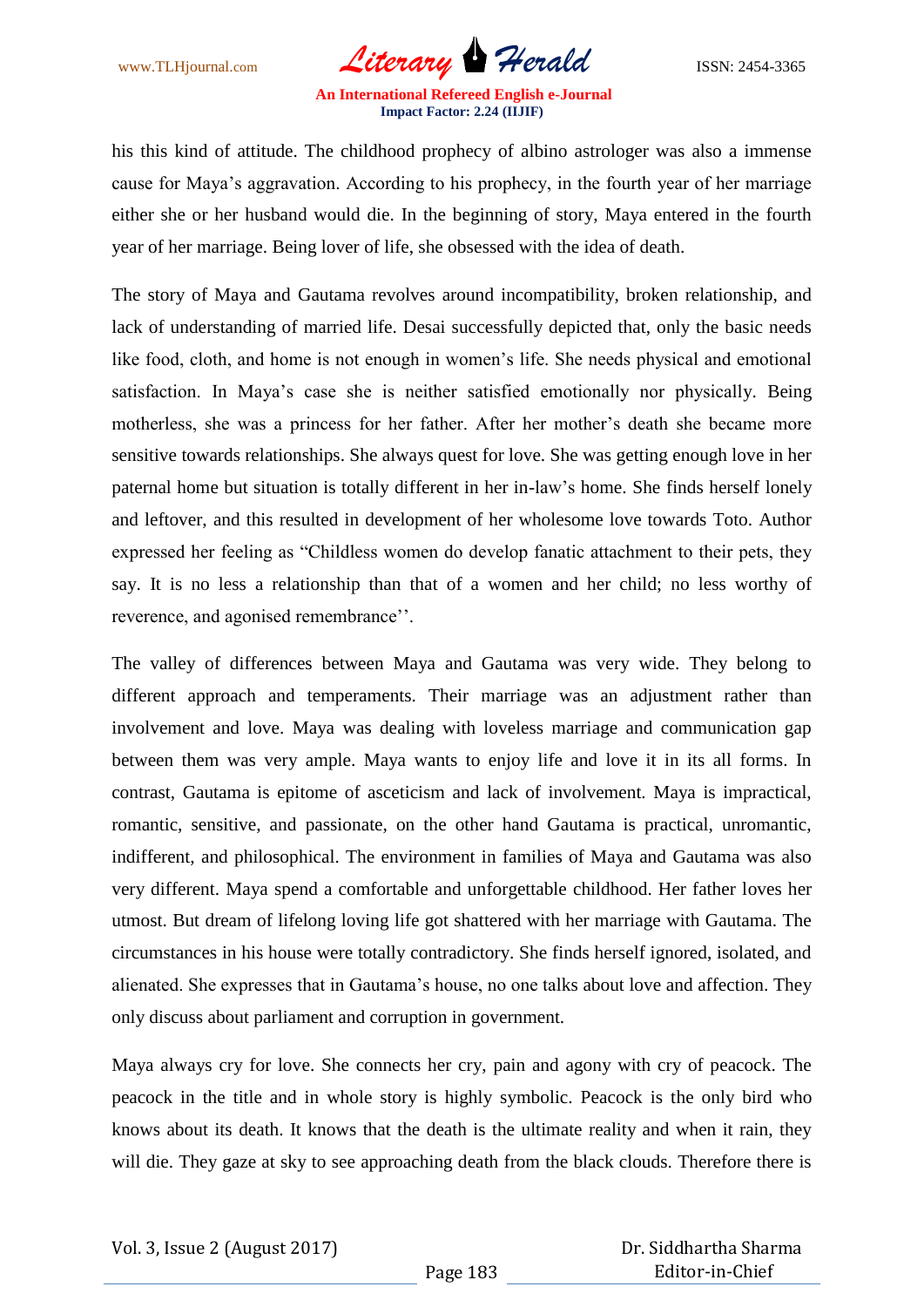

his this kind of attitude. The childhood prophecy of albino astrologer was also a immense cause for Maya"s aggravation. According to his prophecy, in the fourth year of her marriage either she or her husband would die. In the beginning of story, Maya entered in the fourth year of her marriage. Being lover of life, she obsessed with the idea of death.

The story of Maya and Gautama revolves around incompatibility, broken relationship, and lack of understanding of married life. Desai successfully depicted that, only the basic needs like food, cloth, and home is not enough in women"s life. She needs physical and emotional satisfaction. In Maya"s case she is neither satisfied emotionally nor physically. Being motherless, she was a princess for her father. After her mother"s death she became more sensitive towards relationships. She always quest for love. She was getting enough love in her paternal home but situation is totally different in her in-law"s home. She finds herself lonely and leftover, and this resulted in development of her wholesome love towards Toto. Author expressed her feeling as "Childless women do develop fanatic attachment to their pets, they say. It is no less a relationship than that of a women and her child; no less worthy of reverence, and agonised remembrance".

The valley of differences between Maya and Gautama was very wide. They belong to different approach and temperaments. Their marriage was an adjustment rather than involvement and love. Maya was dealing with loveless marriage and communication gap between them was very ample. Maya wants to enjoy life and love it in its all forms. In contrast, Gautama is epitome of asceticism and lack of involvement. Maya is impractical, romantic, sensitive, and passionate, on the other hand Gautama is practical, unromantic, indifferent, and philosophical. The environment in families of Maya and Gautama was also very different. Maya spend a comfortable and unforgettable childhood. Her father loves her utmost. But dream of lifelong loving life got shattered with her marriage with Gautama. The circumstances in his house were totally contradictory. She finds herself ignored, isolated, and alienated. She expresses that in Gautama"s house, no one talks about love and affection. They only discuss about parliament and corruption in government.

Maya always cry for love. She connects her cry, pain and agony with cry of peacock. The peacock in the title and in whole story is highly symbolic. Peacock is the only bird who knows about its death. It knows that the death is the ultimate reality and when it rain, they will die. They gaze at sky to see approaching death from the black clouds. Therefore there is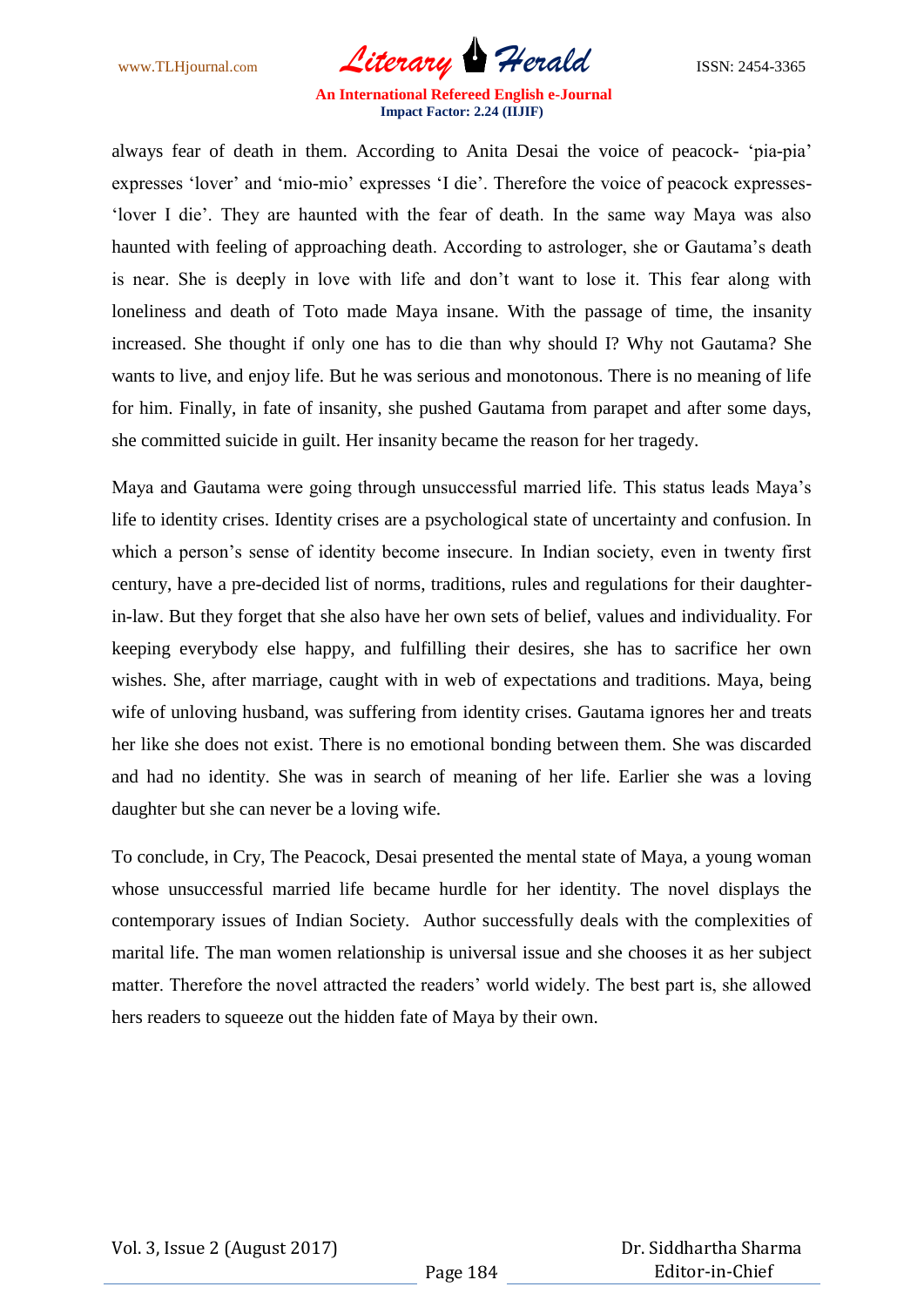

always fear of death in them. According to Anita Desai the voice of peacock- "pia-pia" expresses "lover" and "mio-mio" expresses "I die". Therefore the voice of peacock expresses- "lover I die". They are haunted with the fear of death. In the same way Maya was also haunted with feeling of approaching death. According to astrologer, she or Gautama's death is near. She is deeply in love with life and don"t want to lose it. This fear along with loneliness and death of Toto made Maya insane. With the passage of time, the insanity increased. She thought if only one has to die than why should I? Why not Gautama? She wants to live, and enjoy life. But he was serious and monotonous. There is no meaning of life for him. Finally, in fate of insanity, she pushed Gautama from parapet and after some days, she committed suicide in guilt. Her insanity became the reason for her tragedy.

Maya and Gautama were going through unsuccessful married life. This status leads Maya"s life to identity crises. Identity crises are a psychological state of uncertainty and confusion. In which a person's sense of identity become insecure. In Indian society, even in twenty first century, have a pre-decided list of norms, traditions, rules and regulations for their daughterin-law. But they forget that she also have her own sets of belief, values and individuality. For keeping everybody else happy, and fulfilling their desires, she has to sacrifice her own wishes. She, after marriage, caught with in web of expectations and traditions. Maya, being wife of unloving husband, was suffering from identity crises. Gautama ignores her and treats her like she does not exist. There is no emotional bonding between them. She was discarded and had no identity. She was in search of meaning of her life. Earlier she was a loving daughter but she can never be a loving wife.

To conclude, in Cry, The Peacock, Desai presented the mental state of Maya, a young woman whose unsuccessful married life became hurdle for her identity. The novel displays the contemporary issues of Indian Society. Author successfully deals with the complexities of marital life. The man women relationship is universal issue and she chooses it as her subject matter. Therefore the novel attracted the readers' world widely. The best part is, she allowed hers readers to squeeze out the hidden fate of Maya by their own.